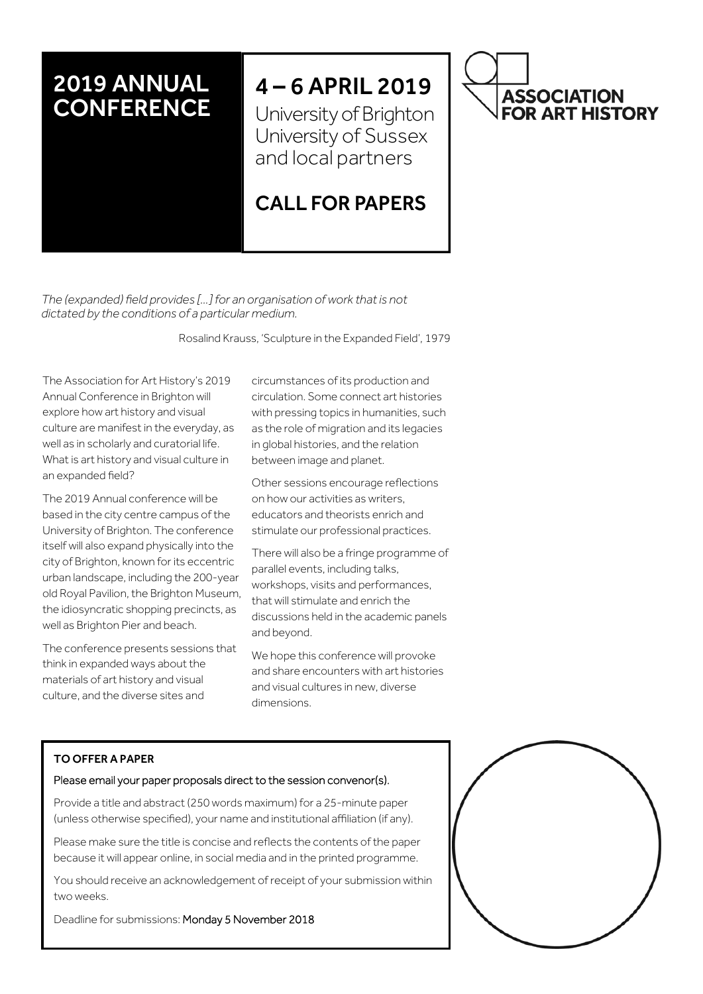## 2019 ANNUAL **CONFERENCE**

# 4 – 6 APRIL 2019

University of Brighton University of Sussex and local partners

## CALL FOR PAPERS

*The (expanded) field provides […] for an organisation of work that is not dictated by the conditions of a particular medium.* 

Rosalind Krauss, 'Sculpture in the Expanded Field', 1979

The Association for Art History's 2019 Annual Conference in Brighton will explore how art history and visual culture are manifest in the everyday, as well as in scholarly and curatorial life. What is art history and visual culture in an expanded field?

The 2019 Annual conference will be based in the city centre campus of the University of Brighton. The conference itself will also expand physically into the city of Brighton, known for its eccentric urban landscape, including the 200-year old Royal Pavilion, the Brighton Museum, the idiosyncratic shopping precincts, as well as Brighton Pier and beach.

The conference presents sessions that think in expanded ways about the materials of art history and visual culture, and the diverse sites and

circumstances of its production and circulation. Some connect art histories with pressing topics in humanities, such as the role of migration and its legacies in global histories, and the relation between image and planet.

Other sessions encourage reflections on how our activities as writers, educators and theorists enrich and stimulate our professional practices.

There will also be a fringe programme of parallel events, including talks, workshops, visits and performances, that will stimulate and enrich the discussions held in the academic panels and beyond.

We hope this conference will provoke and share encounters with art histories and visual cultures in new, diverse dimensions.

#### TO OFFER A PAPER

#### Please email your paper proposals direct to the session convenor(s).

Provide a title and abstract (250 words maximum) for a 25-minute paper (unless otherwise specified), your name and institutional affiliation (if any).

Please make sure the title is concise and reflects the contents of the paper because it will appear online, in social media and in the printed programme.

You should receive an acknowledgement of receipt of your submission within two weeks.

Deadline for submissions: Monday 5 November 2018



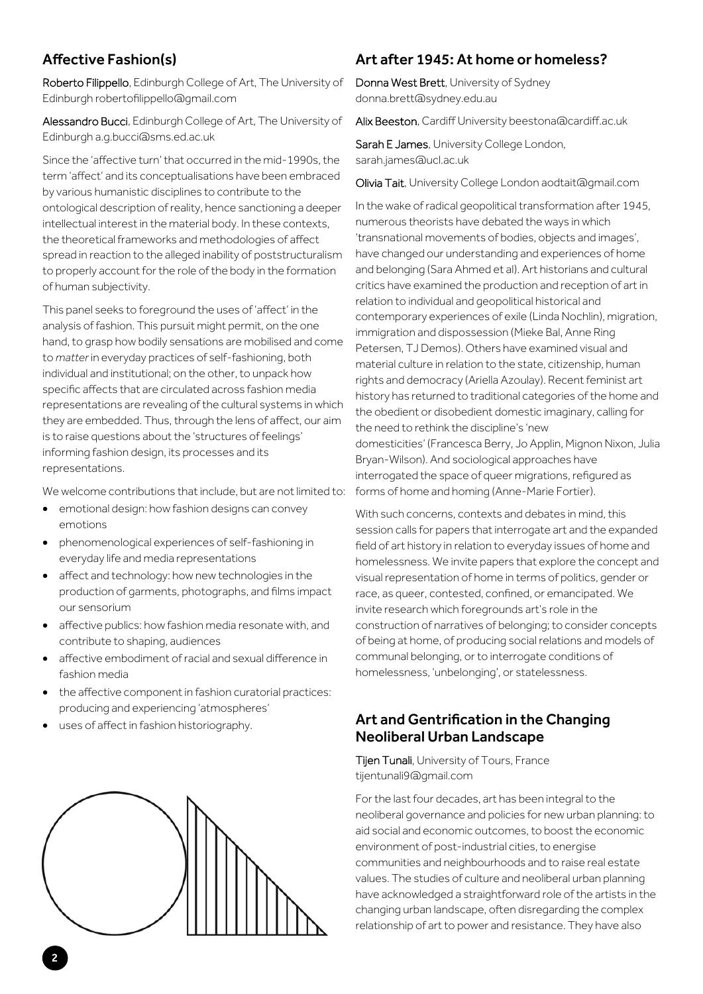## Affective Fashion(s)

Roberto Filippello, Edinburgh College of Art, The University of Edinburgh robertofilippello@gmail.com

Alessandro Bucci, Edinburgh College of Art, The University of Edinburgh a.g.bucci@sms.ed.ac.uk

Since the 'affective turn' that occurred in the mid-1990s, the term 'affect' and its conceptualisations have been embraced by various humanistic disciplines to contribute to the ontological description of reality, hence sanctioning a deeper intellectual interest in the material body. In these contexts, the theoretical frameworks and methodologies of affect spread in reaction to the alleged inability of poststructuralism to properly account for the role of the body in the formation of human subjectivity.

This panel seeks to foreground the uses of 'affect' in the analysis of fashion. This pursuit might permit, on the one hand, to grasp how bodily sensations are mobilised and come to *matter* in everyday practices of self-fashioning, both individual and institutional; on the other, to unpack how specific affects that are circulated across fashion media representations are revealing of the cultural systems in which they are embedded. Thus, through the lens of affect, our aim is to raise questions about the 'structures of feelings' informing fashion design, its processes and its representations.

We welcome contributions that include, but are not limited to:

- emotional design: how fashion designs can convey emotions
- phenomenological experiences of self-fashioning in everyday life and media representations
- affect and technology: how new technologies in the production of garments, photographs, and films impact our sensorium
- affective publics: how fashion media resonate with, and contribute to shaping, audiences
- affective embodiment of racial and sexual difference in fashion media
- the affective component in fashion curatorial practices: producing and experiencing 'atmospheres'
- uses of affect in fashion historiography.



## Art after 1945: At home or homeless?

Donna West Brett, University of Sydney donna.brett@sydney.edu.au

Alix Beeston, Cardiff University beestona@cardiff.ac.uk

Sarah E James, University College London, sarah.james@ucl.ac.uk

Olivia Tait, University College London aodtait@gmail.com

In the wake of radical geopolitical transformation after 1945, numerous theorists have debated the ways in which 'transnational movements of bodies, objects and images', have changed our understanding and experiences of home and belonging (Sara Ahmed et al). Art historians and cultural critics have examined the production and reception of art in relation to individual and geopolitical historical and contemporary experiences of exile (Linda Nochlin), migration, immigration and dispossession (Mieke Bal, Anne Ring Petersen, TJ Demos). Others have examined visual and material culture in relation to the state, citizenship, human rights and democracy (Ariella Azoulay). Recent feminist art history has returned to traditional categories of the home and the obedient or disobedient domestic imaginary, calling for the need to rethink the discipline's 'new domesticities' (Francesca Berry, Jo Applin, Mignon Nixon, Julia Bryan-Wilson). And sociological approaches have interrogated the space of queer migrations, refigured as forms of home and homing (Anne-Marie Fortier).

With such concerns, contexts and debates in mind, this session calls for papers that interrogate art and the expanded field of art history in relation to everyday issues of home and homelessness. We invite papers that explore the concept and visual representation of home in terms of politics, gender or race, as queer, contested, confined, or emancipated. We invite research which foregrounds art's role in the construction of narratives of belonging; to consider concepts of being at home, of producing social relations and models of communal belonging, or to interrogate conditions of homelessness, 'unbelonging', or statelessness.

#### Art and Gentrification in the Changing Neoliberal Urban Landscape

**Tijen Tunali**, University of Tours, France tijentunali9@gmail.com

For the last four decades, art has been integral to the neoliberal governance and policies for new urban planning: to aid social and economic outcomes, to boost the economic environment of post-industrial cities, to energise communities and neighbourhoods and to raise real estate values. The studies of culture and neoliberal urban planning have acknowledged a straightforward role of the artists in the changing urban landscape, often disregarding the complex relationship of art to power and resistance. They have also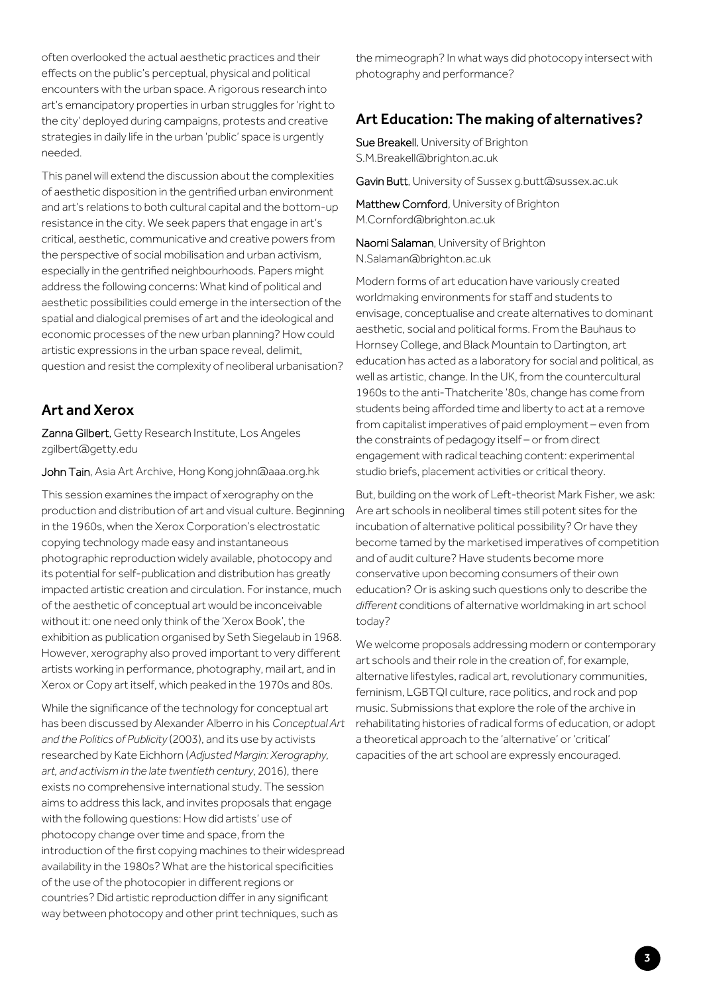often overlooked the actual aesthetic practices and their effects on the public's perceptual, physical and political encounters with the urban space. A rigorous research into art's emancipatory properties in urban struggles for 'right to the city' deployed during campaigns, protests and creative strategies in daily life in the urban 'public' space is urgently needed.

This panel will extend the discussion about the complexities of aesthetic disposition in the gentrified urban environment and art's relations to both cultural capital and the bottom-up resistance in the city. We seek papers that engage in art's critical, aesthetic, communicative and creative powers from the perspective of social mobilisation and urban activism, especially in the gentrified neighbourhoods. Papers might address the following concerns: What kind of political and aesthetic possibilities could emerge in the intersection of the spatial and dialogical premises of art and the ideological and economic processes of the new urban planning? How could artistic expressions in the urban space reveal, delimit, question and resist the complexity of neoliberal urbanisation?

#### Art and Xerox

Zanna Gilbert, Getty Research Institute, Los Angeles zgilbert@getty.edu

John Tain, Asia Art Archive, Hong Kong john@aaa.org.hk

This session examines the impact of xerography on the production and distribution of art and visual culture. Beginning in the 1960s, when the Xerox Corporation's electrostatic copying technology made easy and instantaneous photographic reproduction widely available, photocopy and its potential for self-publication and distribution has greatly impacted artistic creation and circulation. For instance, much of the aesthetic of conceptual art would be inconceivable without it: one need only think of the 'Xerox Book', the exhibition as publication organised by Seth Siegelaub in 1968. However, xerography also proved important to very different artists working in performance, photography, mail art, and in Xerox or Copy art itself, which peaked in the 1970s and 80s.

While the significance of the technology for conceptual art has been discussed by Alexander Alberro in his *Conceptual Art and the Politics of Publicity* (2003), and its use by activists researched by Kate Eichhorn (*Adjusted Margin: Xerography, art, and activism in the late twentieth century*, 2016), there exists no comprehensive international study. The session aims to address this lack, and invites proposals that engage with the following questions: How did artists' use of photocopy change over time and space, from the introduction of the first copying machines to their widespread availability in the 1980s? What are the historical specificities of the use of the photocopier in different regions or countries? Did artistic reproduction differ in any significant way between photocopy and other print techniques, such as

the mimeograph? In what ways did photocopy intersect with photography and performance?

#### Art Education: The making of alternatives?

Sue Breakell, University of Brighton S.M.Breakell@brighton.ac.uk

Gavin Butt, University of Sussex q.butt@sussex.ac.uk

Matthew Cornford, University of Brighton M.Cornford@brighton.ac.uk

Naomi Salaman, University of Brighton N.Salaman@brighton.ac.uk

Modern forms of art education have variously created worldmaking environments for staff and students to envisage, conceptualise and create alternatives to dominant aesthetic, social and political forms. From the Bauhaus to Hornsey College, and Black Mountain to Dartington, art education has acted as a laboratory for social and political, as well as artistic, change. In the UK, from the countercultural 1960s to the anti-Thatcherite '80s, change has come from students being afforded time and liberty to act at a remove from capitalist imperatives of paid employment – even from the constraints of pedagogy itself – or from direct engagement with radical teaching content: experimental studio briefs, placement activities or critical theory.

But, building on the work of Left-theorist Mark Fisher, we ask: Are art schools in neoliberal times still potent sites for the incubation of alternative political possibility? Or have they become tamed by the marketised imperatives of competition and of audit culture? Have students become more conservative upon becoming consumers of their own education? Or is asking such questions only to describe the *different* conditions of alternative worldmaking in art school today?

We welcome proposals addressing modern or contemporary art schools and their role in the creation of, for example, alternative lifestyles, radical art, revolutionary communities, feminism, LGBTQI culture, race politics, and rock and pop music. Submissions that explore the role of the archive in rehabilitating histories of radical forms of education, or adopt a theoretical approach to the 'alternative' or 'critical' capacities of the art school are expressly encouraged.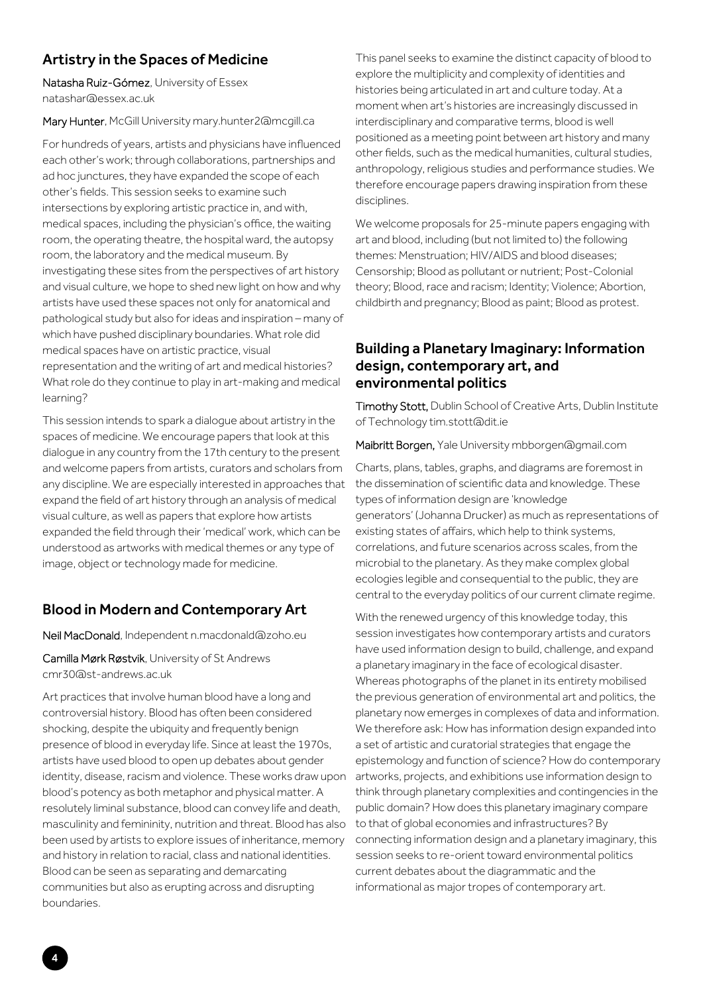#### Artistry in the Spaces of Medicine

Natasha Ruiz-Gómez, University of Essex natashar@essex.ac.uk

Mary Hunter, McGill University mary.hunter2@mcgill.ca

For hundreds of years, artists and physicians have influenced each other's work; through collaborations, partnerships and ad hoc junctures, they have expanded the scope of each other's fields. This session seeks to examine such intersections by exploring artistic practice in, and with, medical spaces, including the physician's office, the waiting room, the operating theatre, the hospital ward, the autopsy room, the laboratory and the medical museum. By investigating these sites from the perspectives of art history and visual culture, we hope to shed new light on how and why artists have used these spaces not only for anatomical and pathological study but also for ideas and inspiration – many of which have pushed disciplinary boundaries. What role did medical spaces have on artistic practice, visual representation and the writing of art and medical histories? What role do they continue to play in art-making and medical learning?

This session intends to spark a dialogue about artistry in the spaces of medicine. We encourage papers that look at this dialogue in any country from the 17th century to the present and welcome papers from artists, curators and scholars from any discipline. We are especially interested in approaches that expand the field of art history through an analysis of medical visual culture, as well as papers that explore how artists expanded the field through their 'medical' work, which can be understood as artworks with medical themes or any type of image, object or technology made for medicine.

#### Blood in Modern and Contemporary Art

Neil MacDonald, Independent n.macdonald@zoho.eu

Camilla Mørk Røstvik, University of St Andrews cmr30@st-andrews.ac.uk

Art practices that involve human blood have a long and controversial history. Blood has often been considered shocking, despite the ubiquity and frequently benign presence of blood in everyday life. Since at least the 1970s, artists have used blood to open up debates about gender identity, disease, racism and violence. These works draw upon blood's potency as both metaphor and physical matter. A resolutely liminal substance, blood can convey life and death, masculinity and femininity, nutrition and threat. Blood has also been used by artists to explore issues of inheritance, memory and history in relation to racial, class and national identities. Blood can be seen as separating and demarcating communities but also as erupting across and disrupting boundaries.

This panel seeks to examine the distinct capacity of blood to explore the multiplicity and complexity of identities and histories being articulated in art and culture today. At a moment when art's histories are increasingly discussed in interdisciplinary and comparative terms, blood is well positioned as a meeting point between art history and many other fields, such as the medical humanities, cultural studies, anthropology, religious studies and performance studies. We therefore encourage papers drawing inspiration from these disciplines.

We welcome proposals for 25-minute papers engaging with art and blood, including (but not limited to) the following themes: Menstruation; HIV/AIDS and blood diseases; Censorship; Blood as pollutant or nutrient; Post-Colonial theory; Blood, race and racism; Identity; Violence; Abortion, childbirth and pregnancy; Blood as paint; Blood as protest.

#### Building a Planetary Imaginary: Information design, contemporary art, and environmental politics

Timothy Stott, Dublin School of Creative Arts, Dublin Institute of Technology tim.stott@dit.ie

Maibritt Borgen, Yale University mbborgen@gmail.com

Charts, plans, tables, graphs, and diagrams are foremost in the dissemination of scientific data and knowledge. These types of information design are 'knowledge generators' (Johanna Drucker) as much as representations of existing states of affairs, which help to think systems, correlations, and future scenarios across scales, from the microbial to the planetary. As they make complex global ecologies legible and consequential to the public, they are central to the everyday politics of our current climate regime.

With the renewed urgency of this knowledge today, this session investigates how contemporary artists and curators have used information design to build, challenge, and expand a planetary imaginary in the face of ecological disaster. Whereas photographs of the planet in its entirety mobilised the previous generation of environmental art and politics, the planetary now emerges in complexes of data and information. We therefore ask: How has information design expanded into a set of artistic and curatorial strategies that engage the epistemology and function of science? How do contemporary artworks, projects, and exhibitions use information design to think through planetary complexities and contingencies in the public domain? How does this planetary imaginary compare to that of global economies and infrastructures? By connecting information design and a planetary imaginary, this session seeks to re-orient toward environmental politics current debates about the diagrammatic and the informational as major tropes of contemporary art.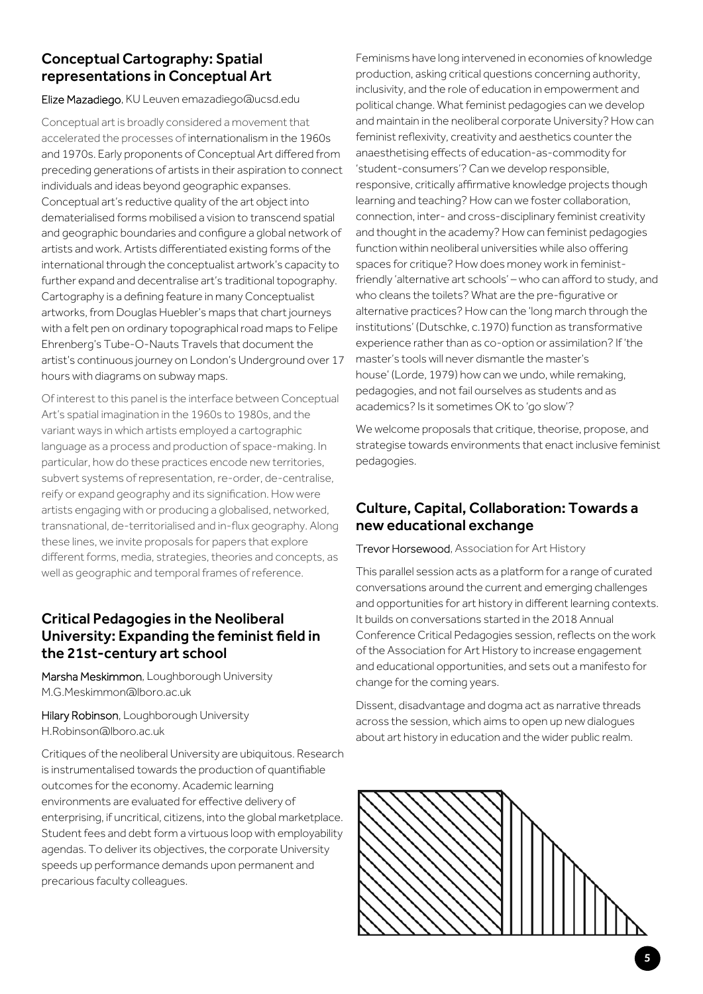## Conceptual Cartography: Spatial representations in Conceptual Art

#### Elize Mazadiego, KU Leuven emazadiego@ucsd.edu

Conceptual art is broadly considered a movement that accelerated the processes of internationalism in the 1960s and 1970s. Early proponents of Conceptual Art differed from preceding generations of artists in their aspiration to connect individuals and ideas beyond geographic expanses. Conceptual art's reductive quality of the art object into dematerialised forms mobilised a vision to transcend spatial and geographic boundaries and configure a global network of artists and work. Artists differentiated existing forms of the international through the conceptualist artwork's capacity to further expand and decentralise art's traditional topography. Cartography is a defining feature in many Conceptualist artworks, from Douglas Huebler's maps that chart journeys with a felt pen on ordinary topographical road maps to Felipe Ehrenberg's Tube-O-Nauts Travels that document the artist's continuous journey on London's Underground over 17 hours with diagrams on subway maps.

Of interest to this panel is the interface between Conceptual Art's spatial imagination in the 1960s to 1980s, and the variant ways in which artists employed a cartographic language as a process and production of space-making. In particular, how do these practices encode new territories, subvert systems of representation, re-order, de-centralise, reify or expand geography and its signification. How were artists engaging with or producing a globalised, networked, transnational, de-territorialised and in-flux geography. Along these lines, we invite proposals for papers that explore different forms, media, strategies, theories and concepts, as well as geographic and temporal frames of reference.

#### Critical Pedagogies in the Neoliberal University: Expanding the feminist field in the 21st-century art school

Marsha Meskimmon, Loughborough University M.G.Meskimmon@lboro.ac.uk

Hilary Robinson, Loughborough University H.Robinson@lboro.ac.uk

Critiques of the neoliberal University are ubiquitous. Research is instrumentalised towards the production of quantifiable outcomes for the economy. Academic learning environments are evaluated for effective delivery of enterprising, if uncritical, citizens, into the global marketplace. Student fees and debt form a virtuous loop with employability agendas. To deliver its objectives, the corporate University speeds up performance demands upon permanent and precarious faculty colleagues.

Feminisms have long intervened in economies of knowledge production, asking critical questions concerning authority, inclusivity, and the role of education in empowerment and political change. What feminist pedagogies can we develop and maintain in the neoliberal corporate University? How can feminist reflexivity, creativity and aesthetics counter the anaesthetising effects of education-as-commodity for 'student-consumers'? Can we develop responsible, responsive, critically affirmative knowledge projects though learning and teaching? How can we foster collaboration, connection, inter- and cross-disciplinary feminist creativity and thought in the academy? How can feminist pedagogies function within neoliberal universities while also offering spaces for critique? How does money work in feministfriendly 'alternative art schools' – who can afford to study, and who cleans the toilets? What are the pre-figurative or alternative practices? How can the 'long march through the institutions' (Dutschke, c.1970) function as transformative experience rather than as co-option or assimilation? If 'the master's tools will never dismantle the master's house' (Lorde, 1979) how can we undo, while remaking, pedagogies, and not fail ourselves as students and as academics? Is it sometimes OK to 'go slow'?

We welcome proposals that critique, theorise, propose, and strategise towards environments that enact inclusive feminist pedagogies.

#### Culture, Capital, Collaboration: Towards a new educational exchange

#### Trevor Horsewood, Association for Art History

This parallel session acts as a platform for a range of curated conversations around the current and emerging challenges and opportunities for art history in different learning contexts. It builds on conversations started in the 2018 Annual Conference Critical Pedagogies session, reflects on the work of the Association for Art History to increase engagement and educational opportunities, and sets out a manifesto for change for the coming years.

Dissent, disadvantage and dogma act as narrative threads across the session, which aims to open up new dialogues about art history in education and the wider public realm.

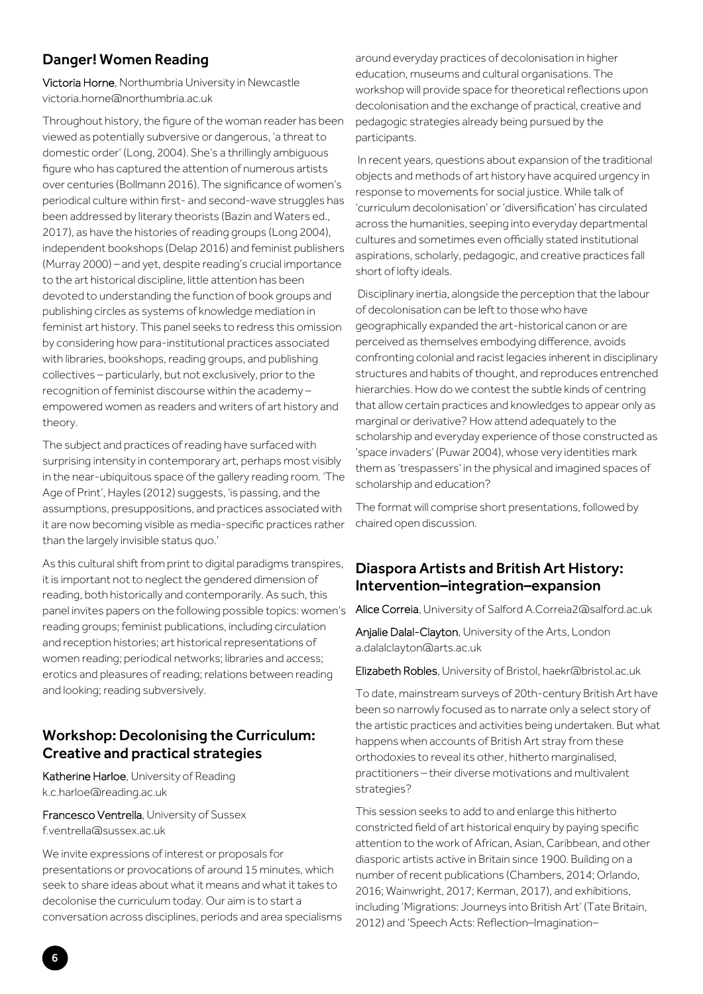#### Danger! Women Reading

Victoria Horne, Northumbria University in Newcastle victoria.horne@northumbria.ac.uk

Throughout history, the figure of the woman reader has been viewed as potentially subversive or dangerous, 'a threat to domestic order' (Long, 2004). She's a thrillingly ambiguous figure who has captured the attention of numerous artists over centuries (Bollmann 2016). The significance of women's periodical culture within first- and second-wave struggles has been addressed by literary theorists (Bazin and Waters ed., 2017), as have the histories of reading groups (Long 2004), independent bookshops (Delap 2016) and feminist publishers (Murray 2000) – and yet, despite reading's crucial importance to the art historical discipline, little attention has been devoted to understanding the function of book groups and publishing circles as systems of knowledge mediation in feminist art history. This panel seeks to redress this omission by considering how para-institutional practices associated with libraries, bookshops, reading groups, and publishing collectives – particularly, but not exclusively, prior to the recognition of feminist discourse within the academy – empowered women as readers and writers of art history and theory.

The subject and practices of reading have surfaced with surprising intensity in contemporary art, perhaps most visibly in the near-ubiquitous space of the gallery reading room. 'The Age of Print', Hayles (2012) suggests, 'is passing, and the assumptions, presuppositions, and practices associated with it are now becoming visible as media-specific practices rather than the largely invisible status quo.'

As this cultural shift from print to digital paradigms transpires, it is important not to neglect the gendered dimension of reading, both historically and contemporarily. As such, this panel invites papers on the following possible topics: women's reading groups; feminist publications, including circulation and reception histories; art historical representations of women reading; periodical networks; libraries and access; erotics and pleasures of reading; relations between reading and looking; reading subversively.

#### Workshop: Decolonising the Curriculum: Creative and practical strategies

Katherine Harloe, University of Reading k.c.harloe@reading.ac.uk

Francesco Ventrella, University of Sussex f.ventrella@sussex.ac.uk

We invite expressions of interest or proposals for presentations or provocations of around 15 minutes, which seek to share ideas about what it means and what it takes to decolonise the curriculum today. Our aim is to start a conversation across disciplines, periods and area specialisms

around everyday practices of decolonisation in higher education, museums and cultural organisations. The workshop will provide space for theoretical reflections upon decolonisation and the exchange of practical, creative and pedagogic strategies already being pursued by the participants.

 In recent years, questions about expansion of the traditional objects and methods of art history have acquired urgency in response to movements for social justice. While talk of 'curriculum decolonisation' or 'diversification' has circulated across the humanities, seeping into everyday departmental cultures and sometimes even officially stated institutional aspirations, scholarly, pedagogic, and creative practices fall short of lofty ideals.

 Disciplinary inertia, alongside the perception that the labour of decolonisation can be left to those who have geographically expanded the art-historical canon or are perceived as themselves embodying difference, avoids confronting colonial and racist legacies inherent in disciplinary structures and habits of thought, and reproduces entrenched hierarchies. How do we contest the subtle kinds of centring that allow certain practices and knowledges to appear only as marginal or derivative? How attend adequately to the scholarship and everyday experience of those constructed as 'space invaders' (Puwar 2004), whose very identities mark them as 'trespassers' in the physical and imagined spaces of scholarship and education?

The format will comprise short presentations, followed by chaired open discussion.

#### Diaspora Artists and British Art History: Intervention–integration–expansion

Alice Correia, University of Salford A.Correia2@salford.ac.uk

Anjalie Dalal-Clayton, University of the Arts, London a.dalalclayton@arts.ac.uk

Elizabeth Robles, University of Bristol, haekr@bristol.ac.uk

To date, mainstream surveys of 20th-century British Art have been so narrowly focused as to narrate only a select story of the artistic practices and activities being undertaken. But what happens when accounts of British Art stray from these orthodoxies to reveal its other, hitherto marginalised, practitioners – their diverse motivations and multivalent strategies?

This session seeks to add to and enlarge this hitherto constricted field of art historical enquiry by paying specific attention to the work of African, Asian, Caribbean, and other diasporic artists active in Britain since 1900. Building on a number of recent publications (Chambers, 2014; Orlando, 2016; Wainwright, 2017; Kerman, 2017), and exhibitions, including 'Migrations: Journeys into British Art' (Tate Britain, 2012) and 'Speech Acts: Reflection–Imagination–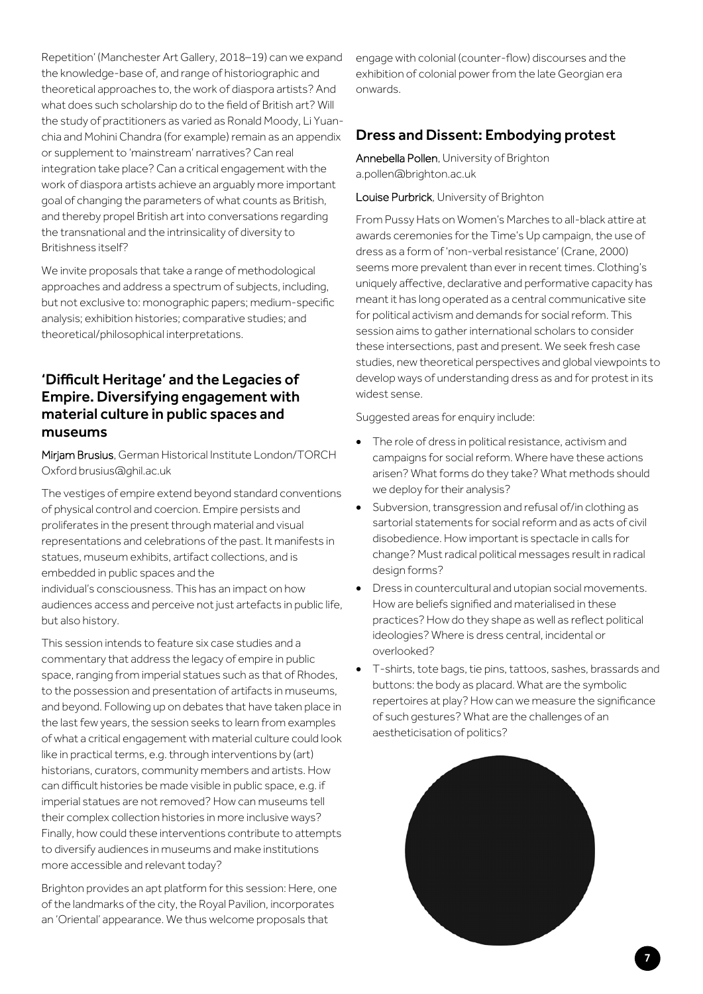Repetition' (Manchester Art Gallery, 2018–19) can we expand the knowledge-base of, and range of historiographic and theoretical approaches to, the work of diaspora artists? And what does such scholarship do to the field of British art? Will the study of practitioners as varied as Ronald Moody, Li Yuanchia and Mohini Chandra (for example) remain as an appendix or supplement to 'mainstream' narratives? Can real integration take place? Can a critical engagement with the work of diaspora artists achieve an arguably more important goal of changing the parameters of what counts as British, and thereby propel British art into conversations regarding the transnational and the intrinsicality of diversity to Britishness itself?

We invite proposals that take a range of methodological approaches and address a spectrum of subjects, including, but not exclusive to: monographic papers; medium-specific analysis; exhibition histories; comparative studies; and theoretical/philosophical interpretations.

#### 'Difficult Heritage' and the Legacies of Empire. Diversifying engagement with material culture in public spaces and museums

Mirjam Brusius, German Historical Institute London/TORCH Oxford brusius@ghil.ac.uk

The vestiges of empire extend beyond standard conventions of physical control and coercion. Empire persists and proliferates in the present through material and visual representations and celebrations of the past. It manifests in statues, museum exhibits, artifact collections, and is embedded in public spaces and the individual's consciousness. This has an impact on how audiences access and perceive not just artefacts in public life, but also history.

This session intends to feature six case studies and a commentary that address the legacy of empire in public space, ranging from imperial statues such as that of Rhodes, to the possession and presentation of artifacts in museums, and beyond. Following up on debates that have taken place in the last few years, the session seeks to learn from examples of what a critical engagement with material culture could look like in practical terms, e.g. through interventions by (art) historians, curators, community members and artists. How can difficult histories be made visible in public space, e.g. if imperial statues are not removed? How can museums tell their complex collection histories in more inclusive ways? Finally, how could these interventions contribute to attempts to diversify audiences in museums and make institutions more accessible and relevant today?

Brighton provides an apt platform for this session: Here, one of the landmarks of the city, the Royal Pavilion, incorporates an 'Oriental' appearance. We thus welcome proposals that

engage with colonial (counter-flow) discourses and the exhibition of colonial power from the late Georgian era onwards.

#### Dress and Dissent: Embodying protest

Annebella Pollen, University of Brighton a.pollen@brighton.ac.uk

Louise Purbrick, University of Brighton

From Pussy Hats on Women's Marches to all-black attire at awards ceremonies for the Time's Up campaign, the use of dress as a form of 'non-verbal resistance' (Crane, 2000) seems more prevalent than ever in recent times. Clothing's uniquely affective, declarative and performative capacity has meant it has long operated as a central communicative site for political activism and demands for social reform. This session aims to gather international scholars to consider these intersections, past and present. We seek fresh case studies, new theoretical perspectives and global viewpoints to develop ways of understanding dress as and for protest in its widest sense.

Suggested areas for enquiry include:

- The role of dress in political resistance, activism and campaigns for social reform. Where have these actions arisen? What forms do they take? What methods should we deploy for their analysis?
- Subversion, transgression and refusal of/in clothing as sartorial statements for social reform and as acts of civil disobedience. How important is spectacle in calls for change? Must radical political messages result in radical design forms?
- Dress in countercultural and utopian social movements. How are beliefs signified and materialised in these practices? How do they shape as well as reflect political ideologies? Where is dress central, incidental or overlooked?
- T-shirts, tote bags, tie pins, tattoos, sashes, brassards and buttons: the body as placard. What are the symbolic repertoires at play? How can we measure the significance of such gestures? What are the challenges of an aestheticisation of politics?



7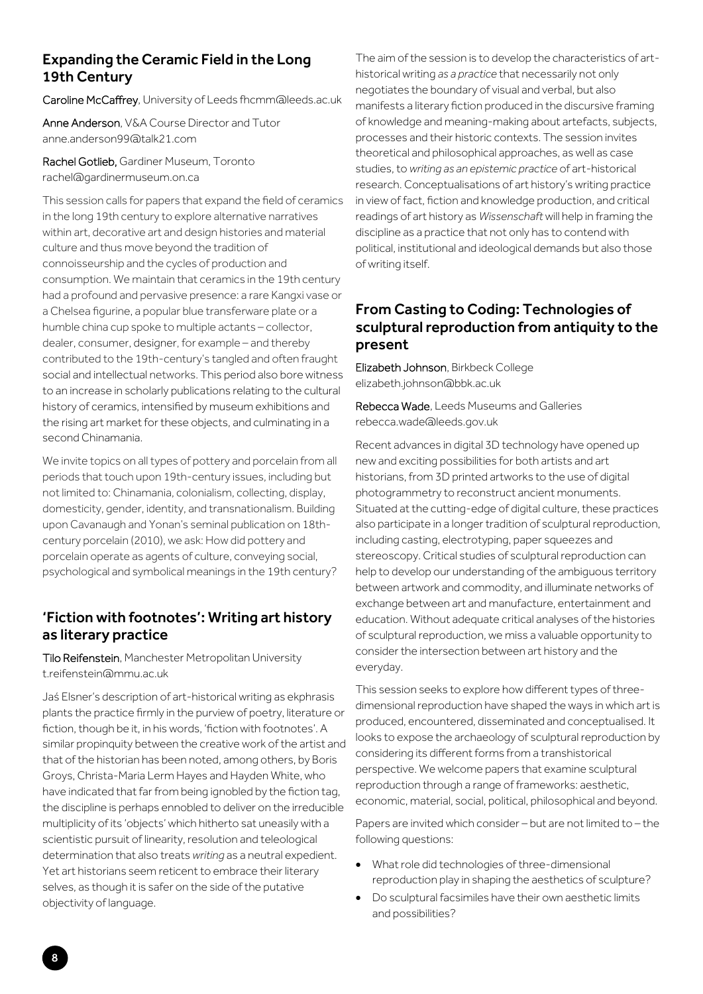#### Expanding the Ceramic Field in the Long 19th Century

Caroline McCaffrey, University of Leeds fhcmm@leeds.ac.uk

Anne Anderson, V&A Course Director and Tutor anne.anderson99@talk21.com

Rachel Gotlieb, Gardiner Museum, Toronto rachel@gardinermuseum.on.ca

This session calls for papers that expand the field of ceramics in the long 19th century to explore alternative narratives within art, decorative art and design histories and material culture and thus move beyond the tradition of connoisseurship and the cycles of production and consumption. We maintain that ceramics in the 19th century had a profound and pervasive presence: a rare Kangxi vase or a Chelsea figurine, a popular blue transferware plate or a humble china cup spoke to multiple actants – collector, dealer, consumer, designer, for example – and thereby contributed to the 19th-century's tangled and often fraught social and intellectual networks. This period also bore witness to an increase in scholarly publications relating to the cultural history of ceramics, intensified by museum exhibitions and the rising art market for these objects, and culminating in a second Chinamania.

We invite topics on all types of pottery and porcelain from all periods that touch upon 19th-century issues, including but not limited to: Chinamania, colonialism, collecting, display, domesticity, gender, identity, and transnationalism. Building upon Cavanaugh and Yonan's seminal publication on 18thcentury porcelain (2010), we ask: How did pottery and porcelain operate as agents of culture, conveying social, psychological and symbolical meanings in the 19th century?

#### 'Fiction with footnotes': Writing art history as literary practice

Tilo Reifenstein, Manchester Metropolitan University t.reifenstein@mmu.ac.uk

Jaś Elsner's description of art-historical writing as ekphrasis plants the practice firmly in the purview of poetry, literature or fiction, though be it, in his words, 'fiction with footnotes'. A similar propinquity between the creative work of the artist and that of the historian has been noted, among others, by Boris Groys, Christa-Maria Lerm Hayes and Hayden White, who have indicated that far from being ignobled by the fiction tag, the discipline is perhaps ennobled to deliver on the irreducible multiplicity of its 'objects' which hitherto sat uneasily with a scientistic pursuit of linearity, resolution and teleological determination that also treats *writing* as a neutral expedient. Yet art historians seem reticent to embrace their literary selves, as though it is safer on the side of the putative objectivity of language.

The aim of the session is to develop the characteristics of arthistorical writing *as a practice* that necessarily not only negotiates the boundary of visual and verbal, but also manifests a literary fiction produced in the discursive framing of knowledge and meaning-making about artefacts, subjects, processes and their historic contexts. The session invites theoretical and philosophical approaches, as well as case studies, to *writing as an epistemic practice* of art-historical research. Conceptualisations of art history's writing practice in view of fact, fiction and knowledge production, and critical readings of art history as *Wissenschaft* will help in framing the discipline as a practice that not only has to contend with political, institutional and ideological demands but also those of writing itself.

#### From Casting to Coding: Technologies of sculptural reproduction from antiquity to the present

Elizabeth Johnson, Birkbeck College elizabeth.johnson@bbk.ac.uk

Rebecca Wade, Leeds Museums and Galleries rebecca.wade@leeds.gov.uk

Recent advances in digital 3D technology have opened up new and exciting possibilities for both artists and art historians, from 3D printed artworks to the use of digital photogrammetry to reconstruct ancient monuments. Situated at the cutting-edge of digital culture, these practices also participate in a longer tradition of sculptural reproduction, including casting, electrotyping, paper squeezes and stereoscopy. Critical studies of sculptural reproduction can help to develop our understanding of the ambiguous territory between artwork and commodity, and illuminate networks of exchange between art and manufacture, entertainment and education. Without adequate critical analyses of the histories of sculptural reproduction, we miss a valuable opportunity to consider the intersection between art history and the everyday.

This session seeks to explore how different types of threedimensional reproduction have shaped the ways in which art is produced, encountered, disseminated and conceptualised. It looks to expose the archaeology of sculptural reproduction by considering its different forms from a transhistorical perspective. We welcome papers that examine sculptural reproduction through a range of frameworks: aesthetic, economic, material, social, political, philosophical and beyond.

Papers are invited which consider – but are not limited to – the following questions:

- What role did technologies of three-dimensional reproduction play in shaping the aesthetics of sculpture?
- Do sculptural facsimiles have their own aesthetic limits and possibilities?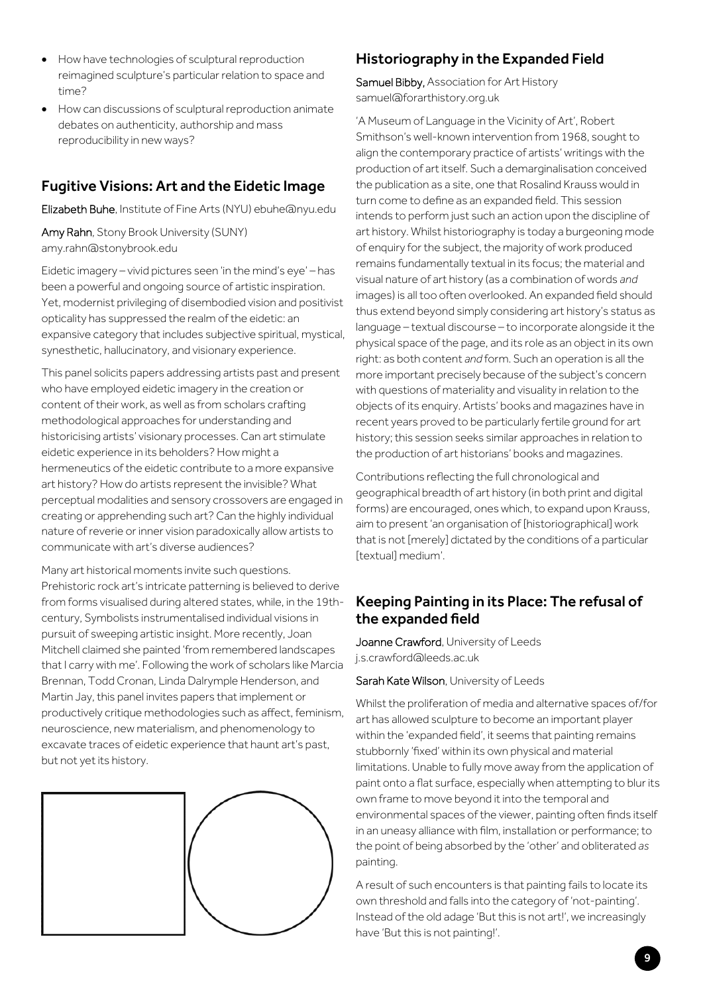- $\bullet$  How have technologies of sculptural reproduction reimagined sculpture's particular relation to space and time?
- How can discussions of sculptural reproduction animate debates on authenticity, authorship and mass reproducibility in new ways?

### Fugitive Visions: Art and the Eidetic Image

Elizabeth Buhe, Institute of Fine Arts (NYU) ebuhe@nyu.edu

Amy Rahn, Stony Brook University (SUNY) amy.rahn@stonybrook.edu

Eidetic imagery – vivid pictures seen 'in the mind's eye' – has been a powerful and ongoing source of artistic inspiration. Yet, modernist privileging of disembodied vision and positivist opticality has suppressed the realm of the eidetic: an expansive category that includes subjective spiritual, mystical, synesthetic, hallucinatory, and visionary experience.

This panel solicits papers addressing artists past and present who have employed eidetic imagery in the creation or content of their work, as well as from scholars crafting methodological approaches for understanding and historicising artists' visionary processes. Can art stimulate eidetic experience in its beholders? How might a hermeneutics of the eidetic contribute to a more expansive art history? How do artists represent the invisible? What perceptual modalities and sensory crossovers are engaged in creating or apprehending such art? Can the highly individual nature of reverie or inner vision paradoxically allow artists to communicate with art's diverse audiences?

Many art historical moments invite such questions. Prehistoric rock art's intricate patterning is believed to derive from forms visualised during altered states, while, in the 19thcentury, Symbolists instrumentalised individual visions in pursuit of sweeping artistic insight. More recently, Joan Mitchell claimed she painted 'from remembered landscapes that I carry with me'. Following the work of scholars like Marcia Brennan, Todd Cronan, Linda Dalrymple Henderson, and Martin Jay, this panel invites papers that implement or productively critique methodologies such as affect, feminism, neuroscience, new materialism, and phenomenology to excavate traces of eidetic experience that haunt art's past, but not yet its history.



## Historiography in the Expanded Field

Samuel Bibby, Association for Art History samuel@forarthistory.org.uk

'A Museum of Language in the Vicinity of Art', Robert Smithson's well-known intervention from 1968, sought to align the contemporary practice of artists' writings with the production of art itself. Such a demarginalisation conceived the publication as a site, one that Rosalind Krauss would in turn come to define as an expanded field. This session intends to perform just such an action upon the discipline of art history. Whilst historiography is today a burgeoning mode of enquiry for the subject, the majority of work produced remains fundamentally textual in its focus; the material and visual nature of art history (as a combination of words *and*  images) is all too often overlooked. An expanded field should thus extend beyond simply considering art history's status as language – textual discourse – to incorporate alongside it the physical space of the page, and its role as an object in its own right: as both content *and* form. Such an operation is all the more important precisely because of the subject's concern with questions of materiality and visuality in relation to the objects of its enquiry. Artists' books and magazines have in recent years proved to be particularly fertile ground for art history; this session seeks similar approaches in relation to the production of art historians' books and magazines.

Contributions reflecting the full chronological and geographical breadth of art history (in both print and digital forms) are encouraged, ones which, to expand upon Krauss, aim to present 'an organisation of [historiographical] work that is not [merely] dictated by the conditions of a particular [textual] medium'.

#### Keeping Painting in its Place: The refusal of the expanded field

Joanne Crawford, University of Leeds j.s.crawford@leeds.ac.uk

Sarah Kate Wilson, University of Leeds

Whilst the proliferation of media and alternative spaces of/for art has allowed sculpture to become an important player within the 'expanded field', it seems that painting remains stubbornly 'fixed' within its own physical and material limitations. Unable to fully move away from the application of paint onto a flat surface, especially when attempting to blur its own frame to move beyond it into the temporal and environmental spaces of the viewer, painting often finds itself in an uneasy alliance with film, installation or performance; to the point of being absorbed by the 'other' and obliterated *as* painting.

A result of such encounters is that painting fails to locate its own threshold and falls into the category of 'not-painting'. Instead of the old adage 'But this is not art!', we increasingly have 'But this is not painting!'.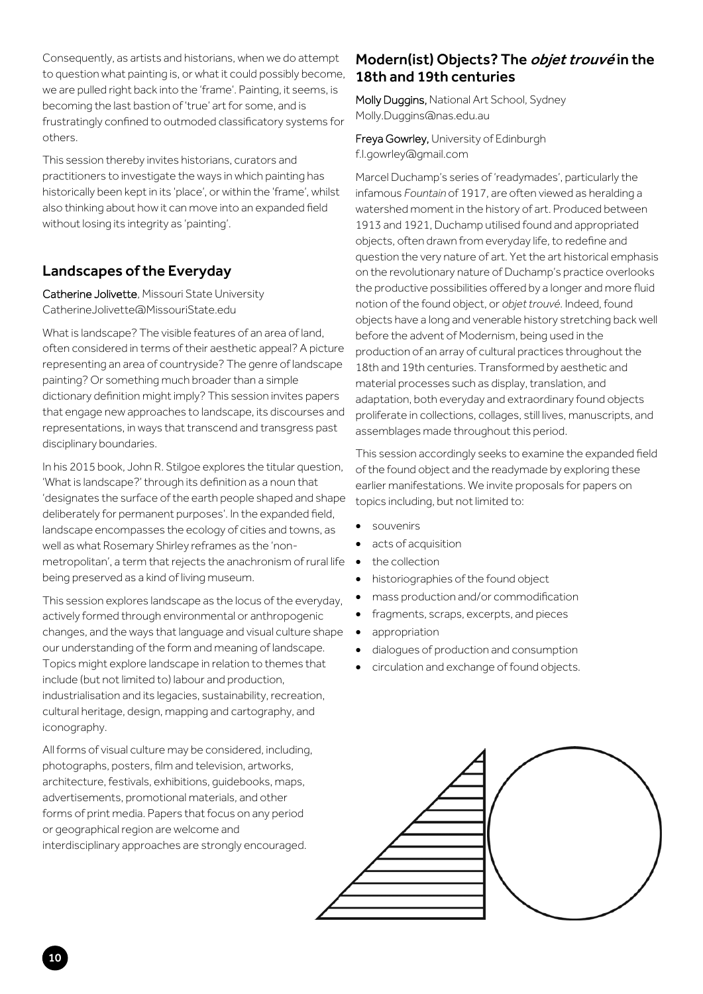Consequently, as artists and historians, when we do attempt to question what painting is, or what it could possibly become, we are pulled right back into the 'frame'. Painting, it seems, is becoming the last bastion of 'true' art for some, and is frustratingly confined to outmoded classificatory systems for others.

This session thereby invites historians, curators and practitioners to investigate the ways in which painting has historically been kept in its 'place', or within the 'frame', whilst also thinking about how it can move into an expanded field without losing its integrity as 'painting'.

#### Landscapes of the Everyday

Catherine Jolivette, Missouri State University Catherine Jolivette@MissouriState.edu

What is landscape? The visible features of an area of land often considered in terms of their aesthetic appeal? A picture representing an area of countryside? The genre of landscape painting? Or something much broader than a simple dictionary definition might imply? This session invites papers that engage new approaches to landscape, its discourses and representations, in ways that transcend and transgress past disciplinary boundaries.

In his 2015 book, John R. Stilgoe explores the titular question, 'What is landscape?' through its definition as a noun that 'designates the surface of the earth people shaped and shape deliberately for permanent purposes'. In the expanded field, landscape encompasses the ecology of cities and towns, as well as what Rosemary Shirley reframes as the 'nonmetropolitan', a term that rejects the anachronism of rural life being preserved as a kind of living museum.

This session explores landscape as the locus of the everyday, actively formed through environmental or anthropogenic changes, and the ways that language and visual culture shape our understanding of the form and meaning of landscape. Topics might explore landscape in relation to themes that include (but not limited to) labour and production, industrialisation and its legacies, sustainability, recreation, cultural heritage, design, mapping and cartography, and iconography.

All forms of visual culture may be considered, including, photographs, posters, film and television, artworks, architecture, festivals, exhibitions, guidebooks, maps, advertisements, promotional materials, and other forms of print media. Papers that focus on any period or geographical region are welcome and interdisciplinary approaches are strongly encouraged.

#### Modern(ist) Objects? The *objet trouvé* in the 18th and 19th centuries

Molly Duggins, National Art School, Sydney Molly.Duggins@nas.edu.au

#### Freya Gowrley, University of Edinburgh f.l.gowrley@gmail.com

Marcel Duchamp's series of 'readymades', particularly the infamous *Fountain* of 1917, are often viewed as heralding a watershed moment in the history of art. Produced between 1913 and 1921, Duchamp utilised found and appropriated objects, often drawn from everyday life, to redefine and question the very nature of art. Yet the art historical emphasis on the revolutionary nature of Duchamp's practice overlooks the productive possibilities offered by a longer and more fluid notion of the found object, or *objet trouvé*. Indeed, found objects have a long and venerable history stretching back well before the advent of Modernism, being used in the production of an array of cultural practices throughout the 18th and 19th centuries. Transformed by aesthetic and material processes such as display, translation, and adaptation, both everyday and extraordinary found objects proliferate in collections, collages, still lives, manuscripts, and assemblages made throughout this period.

This session accordingly seeks to examine the expanded field of the found object and the readymade by exploring these earlier manifestations. We invite proposals for papers on topics including, but not limited to:

- souvenirs
- acts of acquisition
- the collection
- historiographies of the found object
- mass production and/or commodification
- fragments, scraps, excerpts, and pieces
- appropriation
- dialogues of production and consumption
- circulation and exchange of found objects.

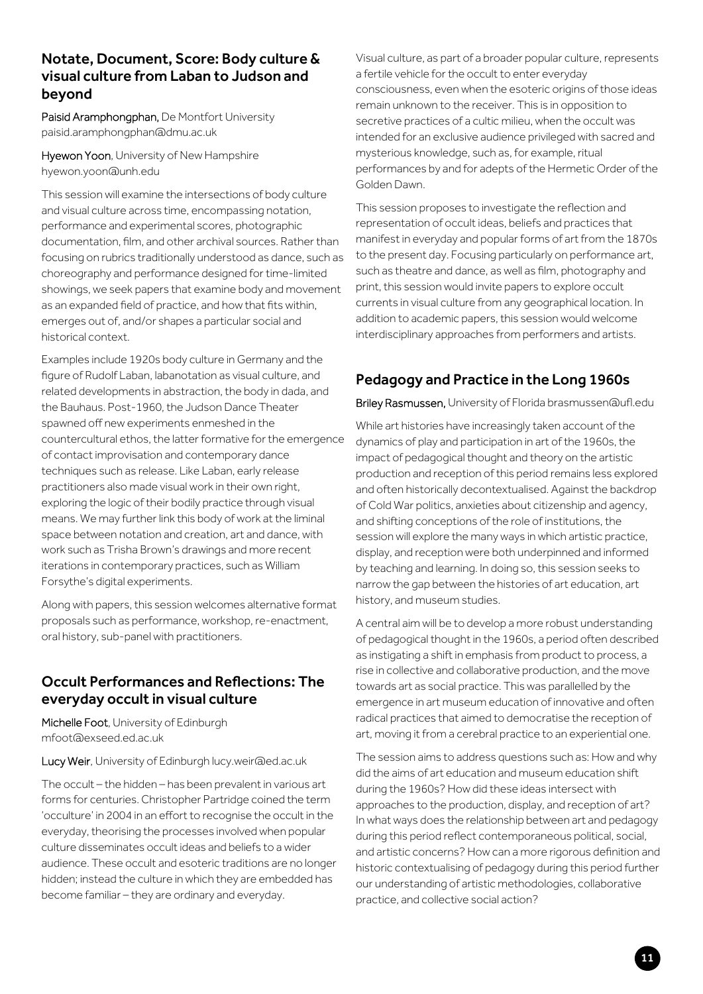#### Notate, Document, Score: Body culture & visual culture from Laban to Judson and beyond

Paisid Aramphongphan, De Montfort University paisid.aramphongphan@dmu.ac.uk

Hyewon Yoon, University of New Hampshire hyewon.yoon@unh.edu

This session will examine the intersections of body culture and visual culture across time, encompassing notation, performance and experimental scores, photographic documentation, film, and other archival sources. Rather than focusing on rubrics traditionally understood as dance, such as choreography and performance designed for time-limited showings, we seek papers that examine body and movement as an expanded field of practice, and how that fits within, emerges out of, and/or shapes a particular social and historical context.

Examples include 1920s body culture in Germany and the figure of Rudolf Laban, labanotation as visual culture, and related developments in abstraction, the body in dada, and the Bauhaus. Post-1960, the Judson Dance Theater spawned off new experiments enmeshed in the countercultural ethos, the latter formative for the emergence of contact improvisation and contemporary dance techniques such as release. Like Laban, early release practitioners also made visual work in their own right, exploring the logic of their bodily practice through visual means. We may further link this body of work at the liminal space between notation and creation, art and dance, with work such as Trisha Brown's drawings and more recent iterations in contemporary practices, such as William Forsythe's digital experiments.

Along with papers, this session welcomes alternative format proposals such as performance, workshop, re-enactment, oral history, sub-panel with practitioners.

#### Occult Performances and Reflections: The everyday occult in visual culture

Michelle Foot, University of Edinburgh mfoot@exseed.ed.ac.uk

Lucy Weir, University of Edinburgh lucy.weir@ed.ac.uk

The occult – the hidden – has been prevalent in various art forms for centuries. Christopher Partridge coined the term 'occulture' in 2004 in an effort to recognise the occult in the everyday, theorising the processes involved when popular culture disseminates occult ideas and beliefs to a wider audience. These occult and esoteric traditions are no longer hidden; instead the culture in which they are embedded has become familiar – they are ordinary and everyday.

Visual culture, as part of a broader popular culture, represents a fertile vehicle for the occult to enter everyday consciousness, even when the esoteric origins of those ideas remain unknown to the receiver. This is in opposition to secretive practices of a cultic milieu, when the occult was intended for an exclusive audience privileged with sacred and mysterious knowledge, such as, for example, ritual performances by and for adepts of the Hermetic Order of the Golden Dawn.

This session proposes to investigate the reflection and representation of occult ideas, beliefs and practices that manifest in everyday and popular forms of art from the 1870s to the present day. Focusing particularly on performance art, such as theatre and dance, as well as film, photography and print, this session would invite papers to explore occult currents in visual culture from any geographical location. In addition to academic papers, this session would welcome interdisciplinary approaches from performers and artists.

## Pedagogy and Practice in the Long 1960s

Briley Rasmussen, University of Florida brasmussen@ufl.edu

While art histories have increasingly taken account of the dynamics of play and participation in art of the 1960s, the impact of pedagogical thought and theory on the artistic production and reception of this period remains less explored and often historically decontextualised. Against the backdrop of Cold War politics, anxieties about citizenship and agency, and shifting conceptions of the role of institutions, the session will explore the many ways in which artistic practice, display, and reception were both underpinned and informed by teaching and learning. In doing so, this session seeks to narrow the gap between the histories of art education, art history, and museum studies.

A central aim will be to develop a more robust understanding of pedagogical thought in the 1960s, a period often described as instigating a shift in emphasis from product to process, a rise in collective and collaborative production, and the move towards art as social practice. This was parallelled by the emergence in art museum education of innovative and often radical practices that aimed to democratise the reception of art, moving it from a cerebral practice to an experiential one.

The session aims to address questions such as: How and why did the aims of art education and museum education shift during the 1960s? How did these ideas intersect with approaches to the production, display, and reception of art? In what ways does the relationship between art and pedagogy during this period reflect contemporaneous political, social, and artistic concerns? How can a more rigorous definition and historic contextualising of pedagogy during this period further our understanding of artistic methodologies, collaborative practice, and collective social action?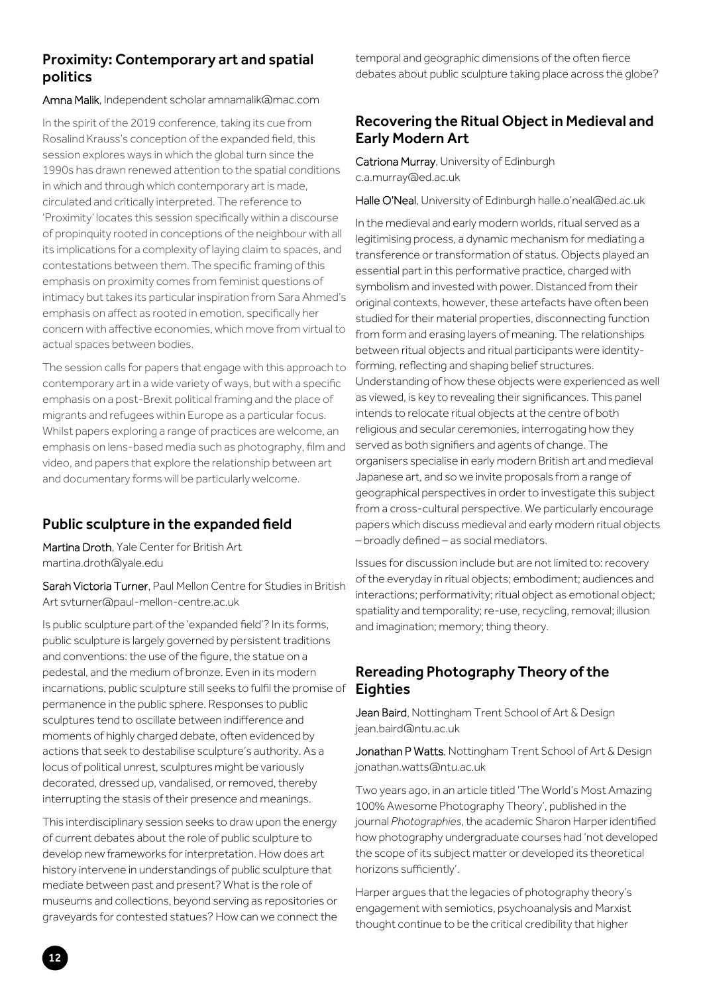#### Proximity: Contemporary art and spatial politics

#### Amna Malik, Independent scholar amnamalik@mac.com

In the spirit of the 2019 conference, taking its cue from Rosalind Krauss's conception of the expanded field, this session explores ways in which the global turn since the 1990s has drawn renewed attention to the spatial conditions in which and through which contemporary art is made, circulated and critically interpreted. The reference to 'Proximity' locates this session specifically within a discourse of propinquity rooted in conceptions of the neighbour with all its implications for a complexity of laying claim to spaces, and contestations between them. The specific framing of this emphasis on proximity comes from feminist questions of intimacy but takes its particular inspiration from Sara Ahmed's emphasis on affect as rooted in emotion, specifically her concern with affective economies, which move from virtual to actual spaces between bodies.

The session calls for papers that engage with this approach to contemporary art in a wide variety of ways, but with a specific emphasis on a post-Brexit political framing and the place of migrants and refugees within Europe as a particular focus. Whilst papers exploring a range of practices are welcome, an emphasis on lens-based media such as photography, film and video, and papers that explore the relationship between art and documentary forms will be particularly welcome.

#### Public sculpture in the expanded field

Martina Droth, Yale Center for British Art martina.droth@yale.edu

Sarah Victoria Turner, Paul Mellon Centre for Studies in British Art svturner@paul-mellon-centre.ac.uk

Is public sculpture part of the 'expanded field'? In its forms, public sculpture is largely governed by persistent traditions and conventions: the use of the figure, the statue on a pedestal, and the medium of bronze. Even in its modern incarnations, public sculpture still seeks to fulfil the promise of permanence in the public sphere. Responses to public sculptures tend to oscillate between indifference and moments of highly charged debate, often evidenced by actions that seek to destabilise sculpture's authority. As a locus of political unrest, sculptures might be variously decorated, dressed up, vandalised, or removed, thereby interrupting the stasis of their presence and meanings.

This interdisciplinary session seeks to draw upon the energy of current debates about the role of public sculpture to develop new frameworks for interpretation. How does art history intervene in understandings of public sculpture that mediate between past and present? What is the role of museums and collections, beyond serving as repositories or graveyards for contested statues? How can we connect the

temporal and geographic dimensions of the often fierce debates about public sculpture taking place across the globe?

#### Recovering the Ritual Object in Medieval and Early Modern Art

Catriona Murray, University of Edinburgh c.a.murray@ed.ac.uk

Halle O'Neal, University of Edinburgh halle.o'neal@ed.ac.uk

In the medieval and early modern worlds, ritual served as a legitimising process, a dynamic mechanism for mediating a transference or transformation of status. Objects played an essential part in this performative practice, charged with symbolism and invested with power. Distanced from their original contexts, however, these artefacts have often been studied for their material properties, disconnecting function from form and erasing layers of meaning. The relationships between ritual objects and ritual participants were identityforming, reflecting and shaping belief structures. Understanding of how these objects were experienced as well as viewed, is key to revealing their significances. This panel intends to relocate ritual objects at the centre of both religious and secular ceremonies, interrogating how they served as both signifiers and agents of change. The organisers specialise in early modern British art and medieval Japanese art, and so we invite proposals from a range of geographical perspectives in order to investigate this subject from a cross-cultural perspective. We particularly encourage papers which discuss medieval and early modern ritual objects – broadly defined – as social mediators.

Issues for discussion include but are not limited to: recovery of the everyday in ritual objects; embodiment; audiences and interactions; performativity; ritual object as emotional object; spatiality and temporality; re-use, recycling, removal; illusion and imagination; memory; thing theory.

## Rereading Photography Theory of the **Eighties**

Jean Baird, Nottingham Trent School of Art & Design jean.baird@ntu.ac.uk

Jonathan P Watts, Nottingham Trent School of Art & Design jonathan.watts@ntu.ac.uk

Two years ago, in an article titled 'The World's Most Amazing 100% Awesome Photography Theory', published in the journal *Photographies*, the academic Sharon Harper identified how photography undergraduate courses had 'not developed the scope of its subject matter or developed its theoretical horizons sufficiently'.

Harper argues that the legacies of photography theory's engagement with semiotics, psychoanalysis and Marxist thought continue to be the critical credibility that higher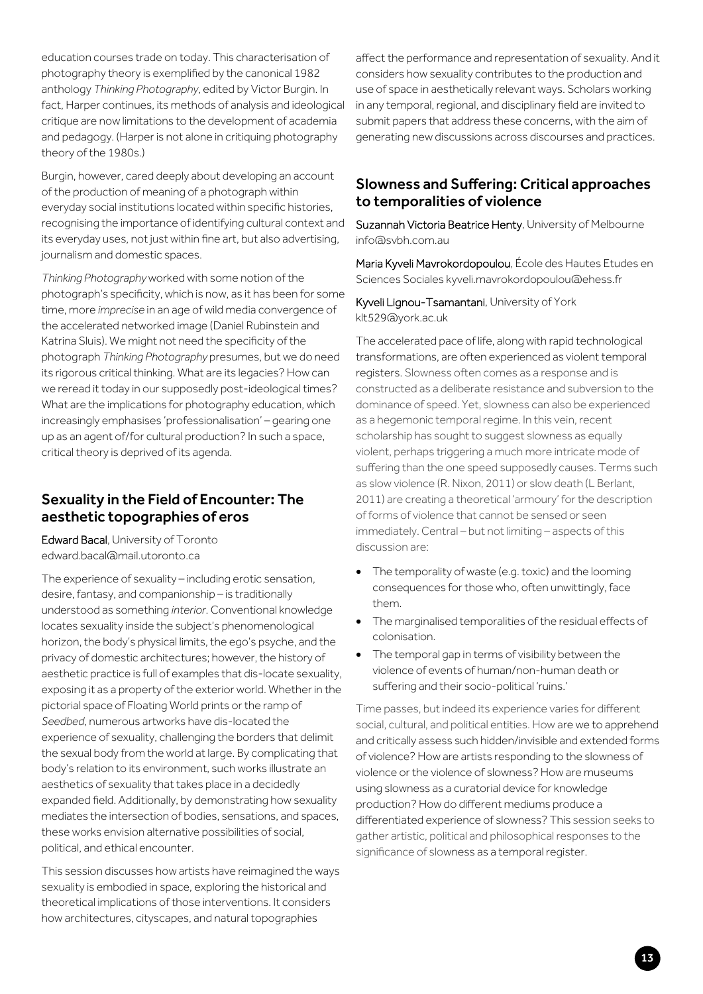education courses trade on today. This characterisation of photography theory is exemplified by the canonical 1982 anthology *Thinking Photography*, edited by Victor Burgin. In fact, Harper continues, its methods of analysis and ideological critique are now limitations to the development of academia and pedagogy. (Harper is not alone in critiquing photography theory of the 1980s.)

Burgin, however, cared deeply about developing an account of the production of meaning of a photograph within everyday social institutions located within specific histories, recognising the importance of identifying cultural context and its everyday uses, not just within fine art, but also advertising, journalism and domestic spaces.

*Thinking Photography* worked with some notion of the photograph's specificity, which is now, as it has been for some time, more *imprecise* in an age of wild media convergence of the accelerated networked image (Daniel Rubinstein and Katrina Sluis). We might not need the specificity of the photograph *Thinking Photography* presumes, but we do need its rigorous critical thinking. What are its legacies? How can we reread it today in our supposedly post-ideological times? What are the implications for photography education, which increasingly emphasises 'professionalisation' – gearing one up as an agent of/for cultural production? In such a space, critical theory is deprived of its agenda.

#### Sexuality in the Field of Encounter: The aesthetic topographies of eros

Edward Bacal, University of Toronto edward.bacal@mail.utoronto.ca

The experience of sexuality – including erotic sensation, desire, fantasy, and companionship – is traditionally understood as something *interior*. Conventional knowledge locates sexuality inside the subject's phenomenological horizon, the body's physical limits, the ego's psyche, and the privacy of domestic architectures; however, the history of aesthetic practice is full of examples that dis-locate sexuality, exposing it as a property of the exterior world. Whether in the pictorial space of Floating World prints orthe ramp of *Seedbed*, numerous artworks have dis-located the experience of sexuality, challenging the borders that delimit the sexual body from the world at large. By complicating that body's relation to its environment, such works illustrate an aesthetics of sexuality that takes place in a decidedly expanded field. Additionally, by demonstrating how sexuality mediates the intersection of bodies, sensations, and spaces, these works envision alternative possibilities of social, political, and ethical encounter.

This session discusses how artists have reimagined the ways sexuality is embodied in space, exploring the historical and theoretical implications of those interventions. It considers how architectures, cityscapes, and natural topographies

affect the performance and representation of sexuality. And it considers how sexuality contributes to the production and use of space in aesthetically relevant ways. Scholars working in any temporal, regional, and disciplinary field are invited to submit papers that address these concerns, with the aim of generating new discussions across discourses and practices.

#### Slowness and Suffering: Critical approaches to temporalities of violence

Suzannah Victoria Beatrice Henty, University of Melbourne info@svbh.com.au

Maria Kyveli Mavrokordopoulou, École des Hautes Etudes en Sciences Sociales kyveli.mavrokordopoulou@ehess.fr

Kyveli Lignou-Tsamantani, University of York klt529@york.ac.uk

The accelerated pace of life, along with rapid technological transformations, are often experienced as violent temporal registers. Slowness often comes as a response and is constructed as a deliberate resistance and subversion to the dominance of speed. Yet, slowness can also be experienced as a hegemonic temporal regime. In this vein, recent scholarship has sought to suggest slowness as equally violent, perhaps triggering a much more intricate mode of suffering than the one speed supposedly causes. Terms such as slow violence (R. Nixon, 2011) or slow death (L Berlant, 2011) are creating a theoretical 'armoury' for the description of forms of violence that cannot be sensed or seen immediately. Central – but not limiting – aspects of this discussion are:

- The temporality of waste (e.g. toxic) and the looming consequences for those who, often unwittingly, face them.
- The marginalised temporalities of the residual effects of colonisation.
- The temporal gap in terms of visibility between the violence of events of human/non-human death or suffering and their socio-political 'ruins.'

Time passes, but indeed its experience varies for different social, cultural, and political entities. How are we to apprehend and critically assess such hidden/invisible and extended forms of violence? How are artists responding to the slowness of violence or the violence of slowness? How are museums using slowness as a curatorial device for knowledge production? How do different mediums produce a differentiated experience of slowness? This session seeks to gather artistic, political and philosophical responses to the significance of slowness as a temporal register.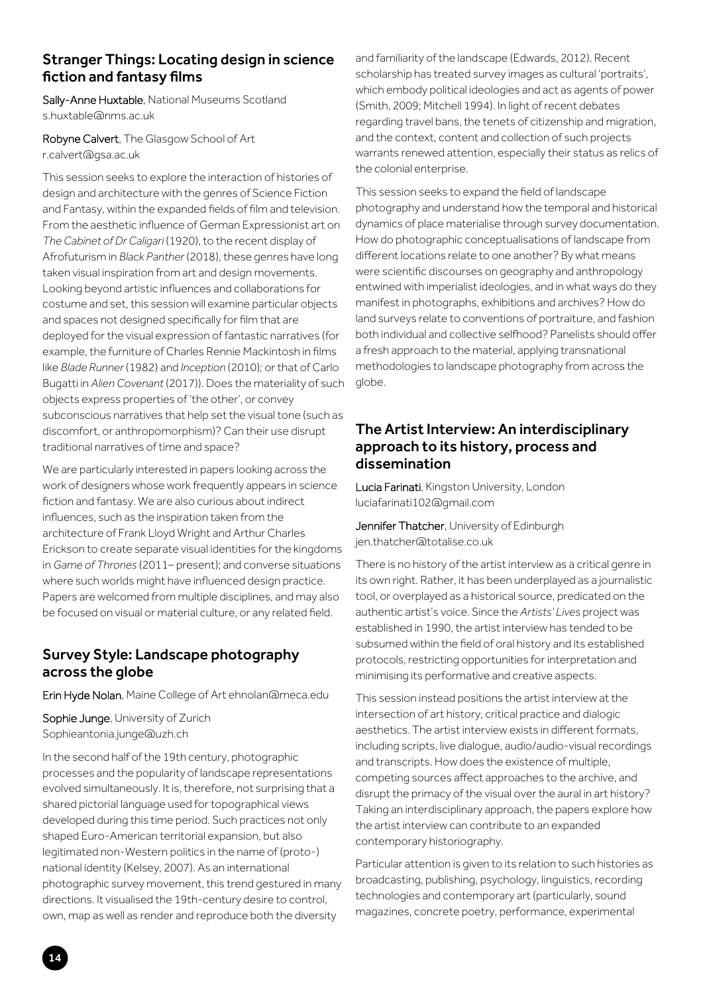#### Stranger Things: Locating design in science fiction and fantasy films

Sally-Anne Huxtable, National Museums Scotland s.huxtable@nms.ac.uk

Robyne Calvert, The Glasgow School of Art r.calvert@gsa.ac.uk

This session seeks to explore the interaction of histories of design and architecture with the genres of Science Fiction and Fantasy, within the expanded fields of film and television. From the aesthetic influence of German Expressionist art on *The Cabinet of Dr Caligari* (1920), to the recent display of Afrofuturism in *Black Panther* (2018), these genres have long taken visual inspiration from art and design movements. Looking beyond artistic influences and collaborations for costume and set, this session will examine particular objects and spaces not designed specifically for film that are deployed for the visual expression of fantastic narratives (for example, the furniture of Charles Rennie Mackintosh in films like *Blade Runner* (1982) and *Inception* (2010)*;* or that of Carlo Bugatti in *Alien Covenant* (2017)). Does the materiality of such objects express properties of 'the other', or convey subconscious narratives that help set the visual tone (such as discomfort, or anthropomorphism)? Can their use disrupt traditional narratives of time and space?

We are particularly interested in papers looking across the work of designers whose work frequently appears in science fiction and fantasy. We are also curious about indirect influences, such as the inspiration taken from the architecture of Frank Lloyd Wright and Arthur Charles Erickson to create separate visual identities for the kingdoms in *Game of Thrones* (2011– present); and converse situations where such worlds might have influenced design practice. Papers are welcomed from multiple disciplines, and may also be focused on visual or material culture, or any related field.

#### Survey Style: Landscape photography across the globe

Erin Hyde Nolan, Maine College of Art ehnolan@meca.edu

Sophie Junge, University of Zurich Sophieantonia.junge@uzh.ch

In the second half of the 19th century, photographic processes and the popularity of landscape representations evolved simultaneously. It is, therefore, not surprising that a shared pictorial language used for topographical views developed during this time period. Such practices not only shaped Euro-American territorial expansion, but also legitimated non-Western politics in the name of (proto-) national identity (Kelsey, 2007). As an international photographic survey movement, this trend gestured in many directions. It visualised the 19th-century desire to control, own, map as well as render and reproduce both the diversity

and familiarity of the landscape (Edwards, 2012). Recent scholarship has treated survey images as cultural 'portraits', which embody political ideologies and act as agents of power (Smith, 2009; Mitchell 1994). In light of recent debates regarding travel bans, the tenets of citizenship and migration, and the context, content and collection of such projects warrants renewed attention, especially their status as relics of the colonial enterprise.

This session seeks to expand the field of landscape photography and understand how the temporal and historical dynamics of place materialise through survey documentation. How do photographic conceptualisations of landscape from different locations relate to one another? By what means were scientific discourses on geography and anthropology entwined with imperialist ideologies, and in what ways do they manifest in photographs, exhibitions and archives? How do land surveys relate to conventions of portraiture, and fashion both individual and collective selfhood? Panelists should offer a fresh approach to the material, applying transnational methodologies to landscape photography from across the globe.

#### The Artist Interview: An interdisciplinary approach to its history, process and dissemination

Lucia Farinati, Kingston University, London luciafarinati102@gmail.com

Jennifer Thatcher, University of Edinburgh jen.thatcher@totalise.co.uk

There is no history of the artist interview as a critical genre in its own right. Rather, it has been underplayed as a journalistic tool, or overplayed as a historical source, predicated on the authentic artist's voice. Since the *Artists' Lives* project was established in 1990, the artist interview has tended to be subsumed within the field of oral history and its established protocols, restricting opportunities for interpretation and minimising its performative and creative aspects.

This session instead positions the artist interview at the intersection of art history, critical practice and dialogic aesthetics. The artist interview exists in different formats, including scripts, live dialogue, audio/audio-visual recordings and transcripts. How does the existence of multiple, competing sources affect approaches to the archive, and disrupt the primacy of the visual over the aural in art history? Taking an interdisciplinary approach, the papers explore how the artist interview can contribute to an expanded contemporary historiography.

Particular attention is given to its relation to such histories as broadcasting, publishing, psychology, linguistics, recording technologies and contemporary art (particularly, sound magazines, concrete poetry, performance, experimental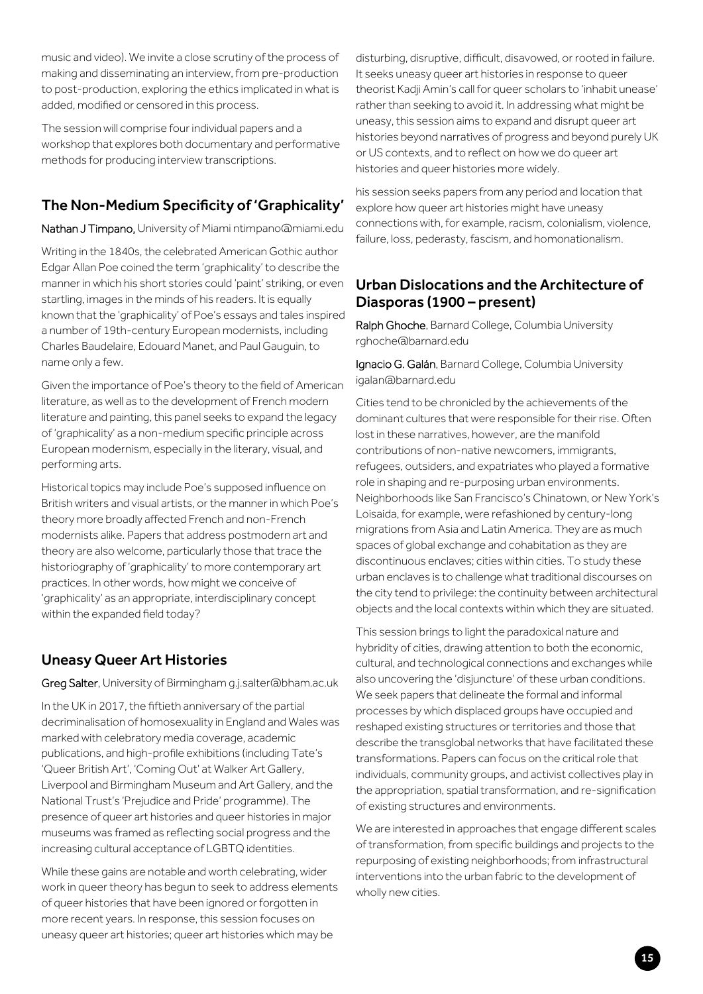music and video). We invite a close scrutiny of the process of making and disseminating an interview, from pre-production to post-production, exploring the ethics implicated in what is added, modified or censored in this process.

The session will comprise four individual papers and a workshop that explores both documentary and performative methods for producing interview transcriptions.

## The Non-Medium Specificity of 'Graphicality'

Nathan J Timpano, University of Miami ntimpano@miami.edu

Writing in the 1840s, the celebrated American Gothic author Edgar Allan Poe coined the term 'graphicality' to describe the manner in which his short stories could 'paint' striking, or even startling, images in the minds of his readers. It is equally known that the 'graphicality' of Poe's essays and tales inspired a number of 19th-century European modernists, including Charles Baudelaire, Edouard Manet, and Paul Gauguin, to name only a few.

Given the importance of Poe's theory to the field of American literature, as well as to the development of French modern literature and painting, this panel seeks to expand the legacy of 'graphicality' as a non-medium specific principle across European modernism, especially in the literary, visual, and performing arts.

Historical topics may include Poe's supposed influence on British writers and visual artists, or the manner in which Poe's theory more broadly affected French and non-French modernists alike. Papers that address postmodern art and theory are also welcome, particularly those that trace the historiography of 'graphicality' to more contemporary art practices. In other words, how might we conceive of 'graphicality' as an appropriate, interdisciplinary concept within the expanded field today?

## Uneasy Queer Art Histories

Greg Salter, University of Birmingham g.j.salter@bham.ac.uk

In the UK in 2017, the fiftieth anniversary of the partial decriminalisation of homosexuality in England and Wales was marked with celebratory media coverage, academic publications, and high-profile exhibitions (including Tate's 'Queer British Art', 'Coming Out' at Walker Art Gallery, Liverpool and Birmingham Museum and Art Gallery, and the National Trust's 'Prejudice and Pride' programme). The presence of queer art histories and queer histories in major museums was framed as reflecting social progress and the increasing cultural acceptance of LGBTQ identities.

While these gains are notable and worth celebrating, wider work in queer theory has begun to seek to address elements of queer histories that have been ignored or forgotten in more recent years. In response, this session focuses on uneasy queer art histories; queer art histories which may be

disturbing, disruptive, difficult, disavowed, or rooted in failure. It seeks uneasy queer art histories in response to queer theorist Kadji Amin's call for queer scholars to 'inhabit unease' rather than seeking to avoid it. In addressing what might be uneasy, this session aims to expand and disrupt queer art histories beyond narratives of progress and beyond purely UK or US contexts, and to reflect on how we do queer art histories and queer histories more widely.

his session seeks papers from any period and location that explore how queer art histories might have uneasy connections with, for example, racism, colonialism, violence, failure, loss, pederasty, fascism, and homonationalism.

#### Urban Dislocations and the Architecture of Diasporas (1900 – present)

Ralph Ghoche, Barnard College, Columbia University rghoche@barnard.edu

Ignacio G. Galán, Barnard College, Columbia University igalan@barnard.edu

Cities tend to be chronicled by the achievements of the dominant cultures that were responsible for their rise. Often lost in these narratives, however, are the manifold contributions of non-native newcomers, immigrants, refugees, outsiders, and expatriates who played a formative role in shaping and re-purposing urban environments. Neighborhoods like San Francisco's Chinatown, or New York's Loisaida, for example, were refashioned by century-long migrations from Asia and Latin America. They are as much spaces of global exchange and cohabitation as they are discontinuous enclaves; cities within cities. To study these urban enclaves is to challenge what traditional discourses on the city tend to privilege: the continuity between architectural objects and the local contexts within which they are situated.

This session brings to light the paradoxical nature and hybridity of cities, drawing attention to both the economic, cultural, and technological connections and exchanges while also uncovering the 'disjuncture' of these urban conditions. We seek papers that delineate the formal and informal processes by which displaced groups have occupied and reshaped existing structures or territories and those that describe the transglobal networks that have facilitated these transformations. Papers can focus on the critical role that individuals, community groups, and activist collectives play in the appropriation, spatial transformation, and re-signification of existing structures and environments.

We are interested in approaches that engage different scales of transformation, from specific buildings and projects to the repurposing of existing neighborhoods; from infrastructural interventions into the urban fabric to the development of wholly new cities.